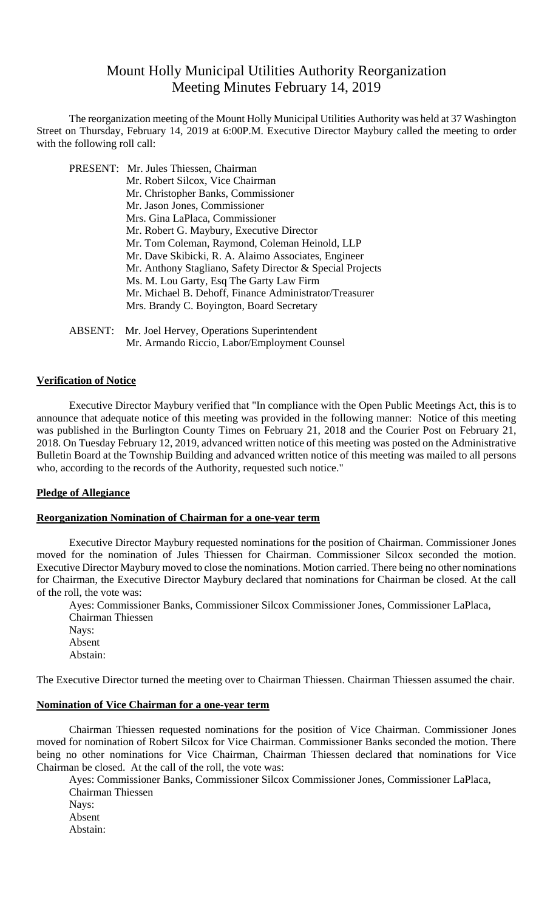# Mount Holly Municipal Utilities Authority Reorganization Meeting Minutes February 14, 2019

 The reorganization meeting of the Mount Holly Municipal Utilities Authority was held at 37 Washington Street on Thursday, February 14, 2019 at 6:00P.M. Executive Director Maybury called the meeting to order with the following roll call:

 PRESENT: Mr. Jules Thiessen, Chairman Mr. Robert Silcox, Vice Chairman Mr. Christopher Banks, Commissioner Mr. Jason Jones, Commissioner Mrs. Gina LaPlaca, Commissioner Mr. Robert G. Maybury, Executive Director Mr. Tom Coleman, Raymond, Coleman Heinold, LLP Mr. Dave Skibicki, R. A. Alaimo Associates, Engineer Mr. Anthony Stagliano, Safety Director & Special Projects Ms. M. Lou Garty, Esq The Garty Law Firm Mr. Michael B. Dehoff, Finance Administrator/Treasurer Mrs. Brandy C. Boyington, Board Secretary

 ABSENT: Mr. Joel Hervey, Operations Superintendent Mr. Armando Riccio, Labor/Employment Counsel

## **Verification of Notice**

Executive Director Maybury verified that "In compliance with the Open Public Meetings Act, this is to announce that adequate notice of this meeting was provided in the following manner: Notice of this meeting was published in the Burlington County Times on February 21, 2018 and the Courier Post on February 21, 2018. On Tuesday February 12, 2019, advanced written notice of this meeting was posted on the Administrative Bulletin Board at the Township Building and advanced written notice of this meeting was mailed to all persons who, according to the records of the Authority, requested such notice."

#### **Pledge of Allegiance**

## **Reorganization Nomination of Chairman for a one-year term**

Executive Director Maybury requested nominations for the position of Chairman. Commissioner Jones moved for the nomination of Jules Thiessen for Chairman. Commissioner Silcox seconded the motion. Executive Director Maybury moved to close the nominations. Motion carried. There being no other nominations for Chairman, the Executive Director Maybury declared that nominations for Chairman be closed. At the call of the roll, the vote was:

Ayes: Commissioner Banks, Commissioner Silcox Commissioner Jones, Commissioner LaPlaca, Chairman Thiessen Nays: Absent Abstain:

The Executive Director turned the meeting over to Chairman Thiessen. Chairman Thiessen assumed the chair.

### **Nomination of Vice Chairman for a one-year term**

 Chairman Thiessen requested nominations for the position of Vice Chairman. Commissioner Jones moved for nomination of Robert Silcox for Vice Chairman. Commissioner Banks seconded the motion. There being no other nominations for Vice Chairman, Chairman Thiessen declared that nominations for Vice Chairman be closed. At the call of the roll, the vote was:

Ayes: Commissioner Banks, Commissioner Silcox Commissioner Jones, Commissioner LaPlaca, Chairman Thiessen Nays: Absent Abstain: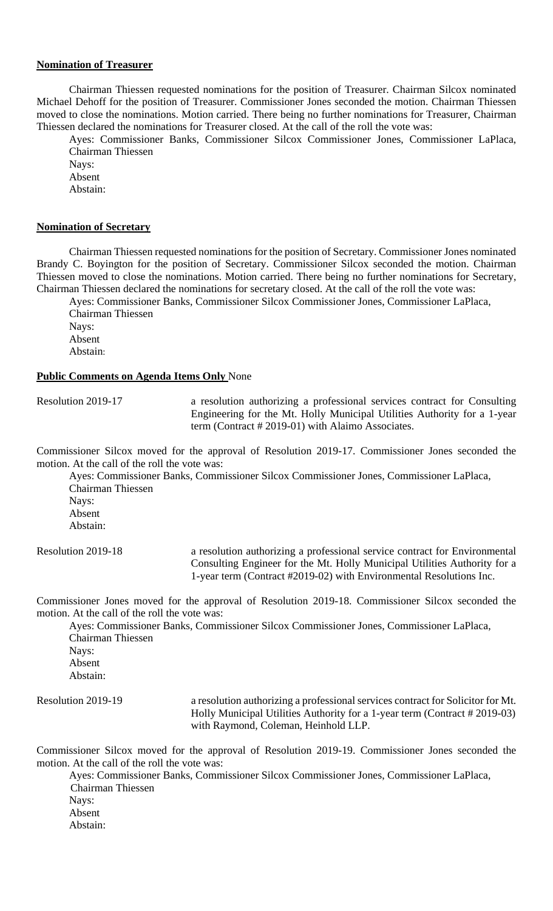## **Nomination of Treasurer**

 Chairman Thiessen requested nominations for the position of Treasurer. Chairman Silcox nominated Michael Dehoff for the position of Treasurer. Commissioner Jones seconded the motion. Chairman Thiessen moved to close the nominations. Motion carried. There being no further nominations for Treasurer, Chairman Thiessen declared the nominations for Treasurer closed. At the call of the roll the vote was:

Ayes: Commissioner Banks, Commissioner Silcox Commissioner Jones, Commissioner LaPlaca, Chairman Thiessen

Nays: Absent

Abstain:

#### **Nomination of Secretary**

 Chairman Thiessen requested nominations for the position of Secretary. Commissioner Jones nominated Brandy C. Boyington for the position of Secretary. Commissioner Silcox seconded the motion. Chairman Thiessen moved to close the nominations. Motion carried. There being no further nominations for Secretary, Chairman Thiessen declared the nominations for secretary closed. At the call of the roll the vote was:

Ayes: Commissioner Banks, Commissioner Silcox Commissioner Jones, Commissioner LaPlaca, Chairman Thiessen Nays: Absent Abstain:

#### **Public Comments on Agenda Items Only** None

Resolution 2019-17 a resolution authorizing a professional services contract for Consulting Engineering for the Mt. Holly Municipal Utilities Authority for a 1-year term (Contract # 2019-01) with Alaimo Associates.

Commissioner Silcox moved for the approval of Resolution 2019-17. Commissioner Jones seconded the motion. At the call of the roll the vote was:

Ayes: Commissioner Banks, Commissioner Silcox Commissioner Jones, Commissioner LaPlaca, Chairman Thiessen Navs: Absent Abstain:

Resolution 2019-18 a resolution authorizing a professional service contract for Environmental Consulting Engineer for the Mt. Holly Municipal Utilities Authority for a 1-year term (Contract #2019-02) with Environmental Resolutions Inc.

Commissioner Jones moved for the approval of Resolution 2019-18. Commissioner Silcox seconded the motion. At the call of the roll the vote was:

Ayes: Commissioner Banks, Commissioner Silcox Commissioner Jones, Commissioner LaPlaca, Chairman Thiessen Nays: Absent Abstain:

Resolution 2019-19 a resolution authorizing a professional services contract for Solicitor for Mt. Holly Municipal Utilities Authority for a 1-year term (Contract # 2019-03) with Raymond, Coleman, Heinhold LLP.

Commissioner Silcox moved for the approval of Resolution 2019-19. Commissioner Jones seconded the motion. At the call of the roll the vote was:

 Ayes: Commissioner Banks, Commissioner Silcox Commissioner Jones, Commissioner LaPlaca, Chairman Thiessen Nays: Absent Abstain: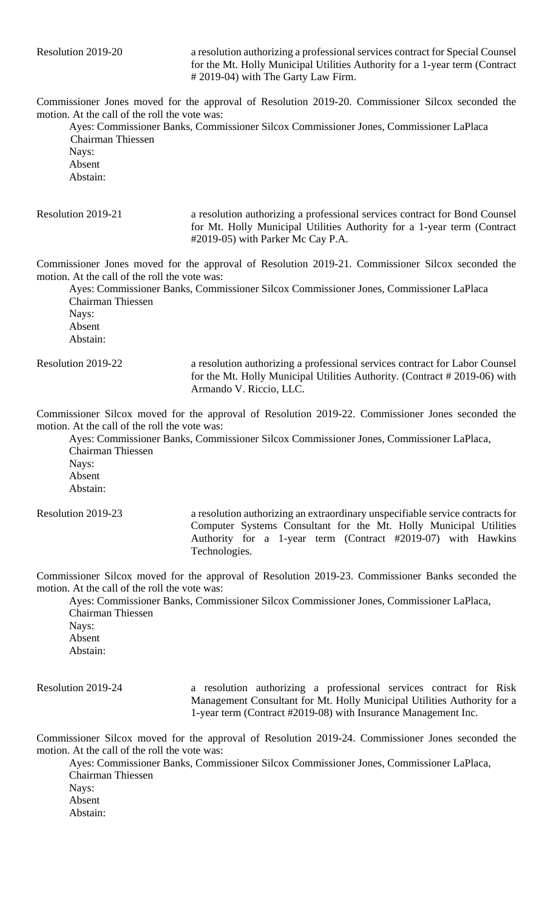Resolution 2019-20 a resolution authorizing a professional services contract for Special Counsel for the Mt. Holly Municipal Utilities Authority for a 1-year term (Contract # 2019-04) with The Garty Law Firm.

Commissioner Jones moved for the approval of Resolution 2019-20. Commissioner Silcox seconded the motion. At the call of the roll the vote was:

 Ayes: Commissioner Banks, Commissioner Silcox Commissioner Jones, Commissioner LaPlaca Chairman Thiessen Nays:

Absent Abstain:

Resolution 2019-21 a resolution authorizing a professional services contract for Bond Counsel for Mt. Holly Municipal Utilities Authority for a 1-year term (Contract #2019-05) with Parker Mc Cay P.A.

Commissioner Jones moved for the approval of Resolution 2019-21. Commissioner Silcox seconded the motion. At the call of the roll the vote was:

 Ayes: Commissioner Banks, Commissioner Silcox Commissioner Jones, Commissioner LaPlaca Chairman Thiessen Nays: Absent Abstain:

Resolution 2019-22 a resolution authorizing a professional services contract for Labor Counsel for the Mt. Holly Municipal Utilities Authority. (Contract # 2019-06) with Armando V. Riccio, LLC.

Commissioner Silcox moved for the approval of Resolution 2019-22. Commissioner Jones seconded the motion. At the call of the roll the vote was:

Ayes: Commissioner Banks, Commissioner Silcox Commissioner Jones, Commissioner LaPlaca, Chairman Thiessen Nays:

Absent Abstain:

Resolution 2019-23 a resolution authorizing an extraordinary unspecifiable service contracts for Computer Systems Consultant for the Mt. Holly Municipal Utilities Authority for a 1-year term (Contract #2019-07) with Hawkins Technologies.

Commissioner Silcox moved for the approval of Resolution 2019-23. Commissioner Banks seconded the motion. At the call of the roll the vote was:

Ayes: Commissioner Banks, Commissioner Silcox Commissioner Jones, Commissioner LaPlaca, Chairman Thiessen Nays: Absent

Abstain:

Resolution 2019-24 a resolution authorizing a professional services contract for Risk Management Consultant for Mt. Holly Municipal Utilities Authority for a 1-year term (Contract #2019-08) with Insurance Management Inc.

Commissioner Silcox moved for the approval of Resolution 2019-24. Commissioner Jones seconded the motion. At the call of the roll the vote was:

Ayes: Commissioner Banks, Commissioner Silcox Commissioner Jones, Commissioner LaPlaca, Chairman Thiessen Nays: Absent Abstain: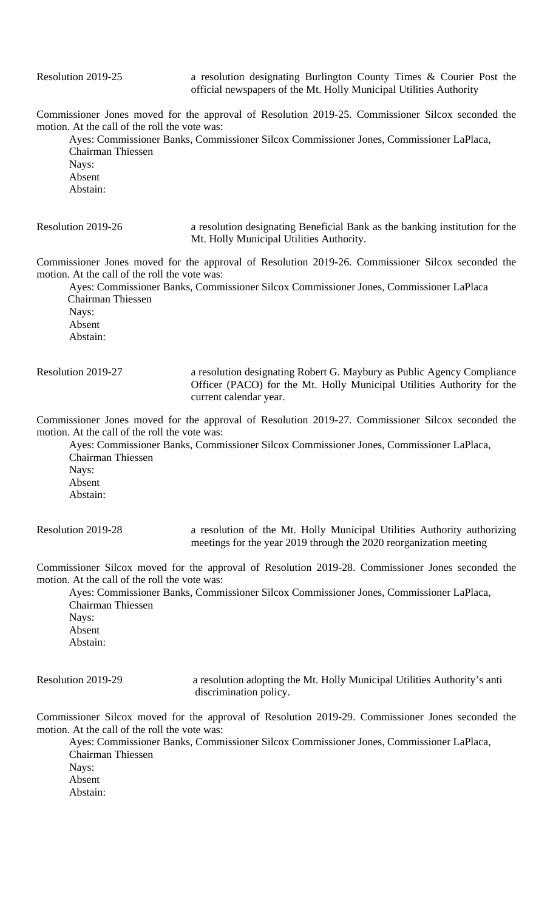Commissioner Jones moved for the approval of Resolution 2019-25. Commissioner Silcox seconded the motion. At the call of the roll the vote was:

Ayes: Commissioner Banks, Commissioner Silcox Commissioner Jones, Commissioner LaPlaca, Chairman Thiessen Navs: Absent Abstain:

Resolution 2019-26 a resolution designating Beneficial Bank as the banking institution for the Mt. Holly Municipal Utilities Authority.

Commissioner Jones moved for the approval of Resolution 2019-26. Commissioner Silcox seconded the motion. At the call of the roll the vote was:

 Ayes: Commissioner Banks, Commissioner Silcox Commissioner Jones, Commissioner LaPlaca Chairman Thiessen Nays:

Absent Abstain:

Resolution 2019-27 a resolution designating Robert G. Maybury as Public Agency Compliance Officer (PACO) for the Mt. Holly Municipal Utilities Authority for the current calendar year.

Commissioner Jones moved for the approval of Resolution 2019-27. Commissioner Silcox seconded the motion. At the call of the roll the vote was:

Ayes: Commissioner Banks, Commissioner Silcox Commissioner Jones, Commissioner LaPlaca, Chairman Thiessen Nays: Absent Abstain:

Resolution 2019-28 a resolution of the Mt. Holly Municipal Utilities Authority authorizing meetings for the year 2019 through the 2020 reorganization meeting

Commissioner Silcox moved for the approval of Resolution 2019-28. Commissioner Jones seconded the motion. At the call of the roll the vote was:

Ayes: Commissioner Banks, Commissioner Silcox Commissioner Jones, Commissioner LaPlaca, Chairman Thiessen Nays: Absent Abstain: Resolution 2019-29 a resolution adopting the Mt. Holly Municipal Utilities Authority's anti

discrimination policy.

Commissioner Silcox moved for the approval of Resolution 2019-29. Commissioner Jones seconded the motion. At the call of the roll the vote was:

Ayes: Commissioner Banks, Commissioner Silcox Commissioner Jones, Commissioner LaPlaca, Chairman Thiessen Nays: Absent Abstain: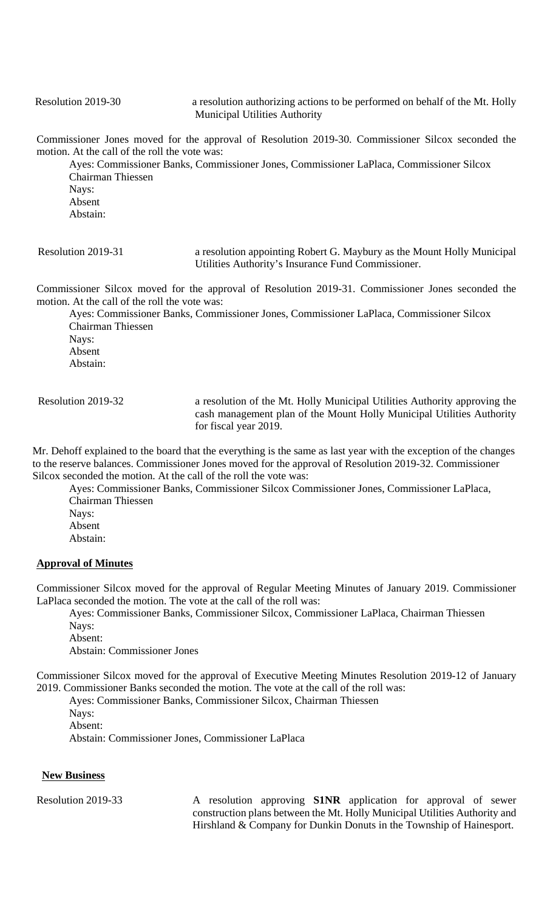Resolution 2019-30 a resolution authorizing actions to be performed on behalf of the Mt. Holly Municipal Utilities Authority

Commissioner Jones moved for the approval of Resolution 2019-30. Commissioner Silcox seconded the motion. At the call of the roll the vote was:

Ayes: Commissioner Banks, Commissioner Jones, Commissioner LaPlaca, Commissioner Silcox Chairman Thiessen Nays: Absent Abstain:

 Resolution 2019-31 a resolution appointing Robert G. Maybury as the Mount Holly Municipal Utilities Authority's Insurance Fund Commissioner.

Commissioner Silcox moved for the approval of Resolution 2019-31. Commissioner Jones seconded the motion. At the call of the roll the vote was:

Ayes: Commissioner Banks, Commissioner Jones, Commissioner LaPlaca, Commissioner Silcox Chairman Thiessen Nays: Absent Abstain:

 Resolution 2019-32 a resolution of the Mt. Holly Municipal Utilities Authority approving the cash management plan of the Mount Holly Municipal Utilities Authority for fiscal year 2019.

Mr. Dehoff explained to the board that the everything is the same as last year with the exception of the changes to the reserve balances. Commissioner Jones moved for the approval of Resolution 2019-32. Commissioner Silcox seconded the motion. At the call of the roll the vote was:

Ayes: Commissioner Banks, Commissioner Silcox Commissioner Jones, Commissioner LaPlaca, Chairman Thiessen Nays: Absent Abstain:

## **Approval of Minutes**

Commissioner Silcox moved for the approval of Regular Meeting Minutes of January 2019. Commissioner LaPlaca seconded the motion. The vote at the call of the roll was:

Ayes: Commissioner Banks, Commissioner Silcox, Commissioner LaPlaca, Chairman Thiessen Nays:

Absent: Abstain: Commissioner Jones

Commissioner Silcox moved for the approval of Executive Meeting Minutes Resolution 2019-12 of January 2019. Commissioner Banks seconded the motion. The vote at the call of the roll was:

Ayes: Commissioner Banks, Commissioner Silcox, Chairman Thiessen Nays: Absent:

Abstain: Commissioner Jones, Commissioner LaPlaca

## **New Business**

Resolution 2019-33 A resolution approving **S1NR** application for approval of sewer construction plans between the Mt. Holly Municipal Utilities Authority and Hirshland & Company for Dunkin Donuts in the Township of Hainesport.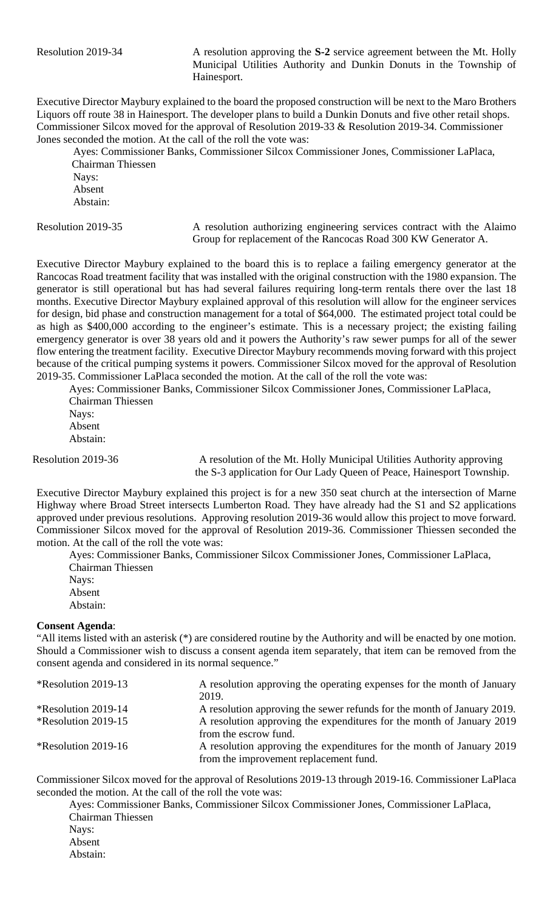Resolution 2019-34 A resolution approving the **S-2** service agreement between the Mt. Holly Municipal Utilities Authority and Dunkin Donuts in the Township of Hainesport.

Executive Director Maybury explained to the board the proposed construction will be next to the Maro Brothers Liquors off route 38 in Hainesport. The developer plans to build a Dunkin Donuts and five other retail shops. Commissioner Silcox moved for the approval of Resolution 2019-33 & Resolution 2019-34. Commissioner Jones seconded the motion. At the call of the roll the vote was:

Ayes: Commissioner Banks, Commissioner Silcox Commissioner Jones, Commissioner LaPlaca, Chairman Thiessen Nays: Absent Abstain:

Resolution 2019-35 A resolution authorizing engineering services contract with the Alaimo Group for replacement of the Rancocas Road 300 KW Generator A.

Executive Director Maybury explained to the board this is to replace a failing emergency generator at the Rancocas Road treatment facility that was installed with the original construction with the 1980 expansion. The generator is still operational but has had several failures requiring long-term rentals there over the last 18 months. Executive Director Maybury explained approval of this resolution will allow for the engineer services for design, bid phase and construction management for a total of \$64,000. The estimated project total could be as high as \$400,000 according to the engineer's estimate. This is a necessary project; the existing failing emergency generator is over 38 years old and it powers the Authority's raw sewer pumps for all of the sewer flow entering the treatment facility. Executive Director Maybury recommends moving forward with this project because of the critical pumping systems it powers. Commissioner Silcox moved for the approval of Resolution 2019-35. Commissioner LaPlaca seconded the motion. At the call of the roll the vote was:

Ayes: Commissioner Banks, Commissioner Silcox Commissioner Jones, Commissioner LaPlaca, Chairman Thiessen Nays: Absent Abstain:

Resolution 2019-36 A resolution of the Mt. Holly Municipal Utilities Authority approving the S-3 application for Our Lady Queen of Peace, Hainesport Township.

Executive Director Maybury explained this project is for a new 350 seat church at the intersection of Marne Highway where Broad Street intersects Lumberton Road. They have already had the S1 and S2 applications approved under previous resolutions. Approving resolution 2019-36 would allow this project to move forward. Commissioner Silcox moved for the approval of Resolution 2019-36. Commissioner Thiessen seconded the motion. At the call of the roll the vote was:

Ayes: Commissioner Banks, Commissioner Silcox Commissioner Jones, Commissioner LaPlaca, Chairman Thiessen Nays: Absent Abstain:

## **Consent Agenda**:

"All items listed with an asterisk (\*) are considered routine by the Authority and will be enacted by one motion. Should a Commissioner wish to discuss a consent agenda item separately, that item can be removed from the consent agenda and considered in its normal sequence."

| <i>*</i> Resolution 2019-13       | A resolution approving the operating expenses for the month of January<br>2019. |
|-----------------------------------|---------------------------------------------------------------------------------|
| <i>*</i> Resolution 2019-14       | A resolution approving the sewer refunds for the month of January 2019.         |
| <i><b>*Resolution 2019-15</b></i> | A resolution approving the expenditures for the month of January 2019           |
|                                   | from the escrow fund.                                                           |
| <i><b>*Resolution 2019-16</b></i> | A resolution approving the expenditures for the month of January 2019           |
|                                   | from the improvement replacement fund.                                          |

Commissioner Silcox moved for the approval of Resolutions 2019-13 through 2019-16. Commissioner LaPlaca seconded the motion. At the call of the roll the vote was:

Ayes: Commissioner Banks, Commissioner Silcox Commissioner Jones, Commissioner LaPlaca, Chairman Thiessen Navs: Absent Abstain: